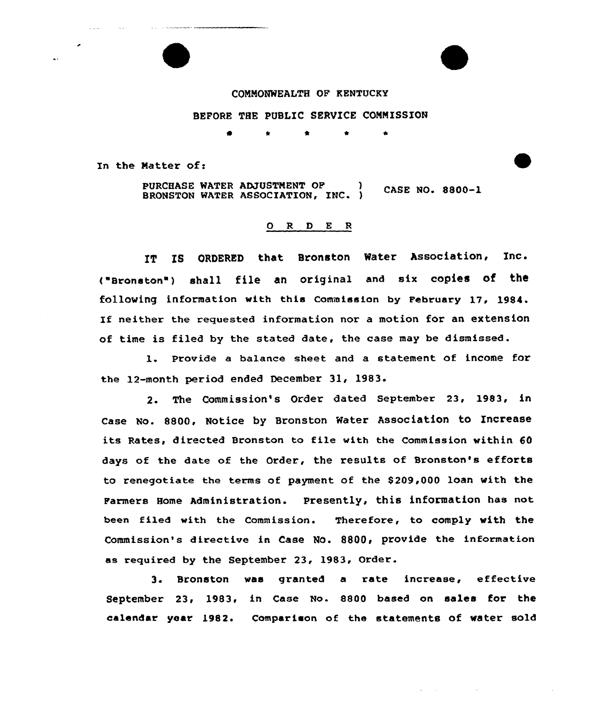## CONMONWEALTH OF KENTUCKY

## BEFORE THE PUBLIC SERVICE COMMISSION

0 \* <sup>4</sup>

In the Natter of:

PURCHASE WATER ADJUSTNENT OF ) CASE NO. 8800-1 BRONSTON WATER ASSOCIATION, INC. )

## O R D E R

IT IS ORDERED that Bronston Water Association, Inc. ("Bronston") shall file an original and six copies of the following information with this Commission by February 17, 1984. If neither the requested information nor <sup>a</sup> motion for an extension of time is filed by the stated date, the case may be dismissed.

l. Provide <sup>a</sup> balance sheet and <sup>a</sup> statement. of income for the 12-month period ended December 31< 1983.

2. The Commission's Order dated September 23, 1983, in Case No. 8800, Notice by Bronston Water Association to Increase its Rates, directed Bronston to file with the Commission within 60 days of the date of the Order, the results of Bronston's efforts to renegotiate the terms of payment of the \$209,000 loan with the Farmers Home Administration. presently, this information has not been filed with the Commission. Therefore, to comply with the Commission's directive in Case No. 8800, provide the information as required by the September 23, 1983, Order.

3. Bronston was granted a rate increase, effective September 23, 1983, in Case No. 8800 based on sales for the calendar year 1982. Comparison of the statements of water sold

 $\Delta \sim 1000$  km s  $^{-1}$